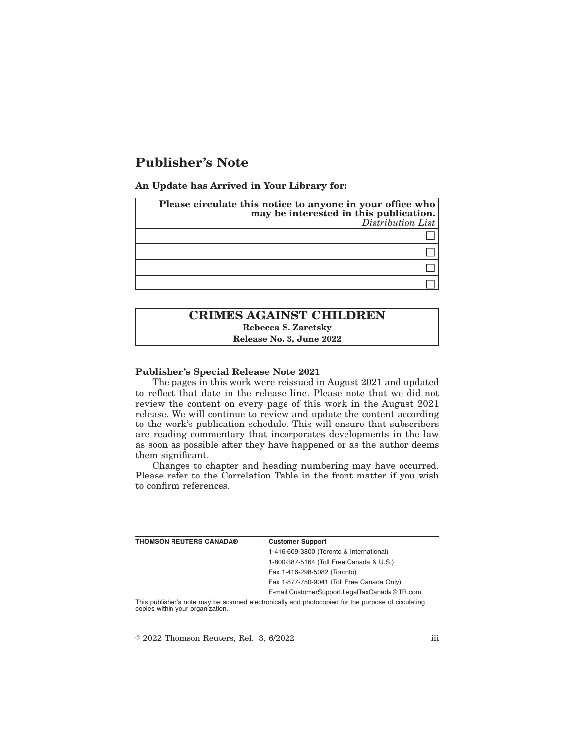# **Publisher's Note**

**An Update has Arrived in Your Library for:**

| Please circulate this notice to anyone in your office who<br>may be interested in this publication.<br>Distribution List |
|--------------------------------------------------------------------------------------------------------------------------|
|                                                                                                                          |
|                                                                                                                          |
|                                                                                                                          |
|                                                                                                                          |

# **CRIMES AGAINST CHILDREN Rebecca S. Zaretsky Release No. 3, June 2022**

### **Publisher's Special Release Note 2021**

The pages in this work were reissued in August 2021 and updated to reflect that date in the release line. Please note that we did not review the content on every page of this work in the August 2021 release. We will continue to review and update the content according to the work's publication schedule. This will ensure that subscribers are reading commentary that incorporates developments in the law as soon as possible after they have happened or as the author deems them significant.

Changes to chapter and heading numbering may have occurred. Please refer to the Correlation Table in the front matter if you wish to confirm references.

| <b>THOMSON REUTERS CANADA®</b>   | <b>Customer Support</b>                                                                            |
|----------------------------------|----------------------------------------------------------------------------------------------------|
|                                  | 1-416-609-3800 (Toronto & International)                                                           |
|                                  | 1-800-387-5164 (Toll Free Canada & U.S.)                                                           |
|                                  | Fax 1-416-298-5082 (Toronto)                                                                       |
|                                  | Fax 1-877-750-9041 (Toll Free Canada Only)                                                         |
|                                  | E-mail CustomerSupport.LegalTaxCanada@TR.com                                                       |
| copies within your organization. | This publisher's note may be scanned electronically and photocopied for the purpose of circulating |

 $\textdegree$  2022 Thomson Reuters, Rel. 3, 6/2022 iii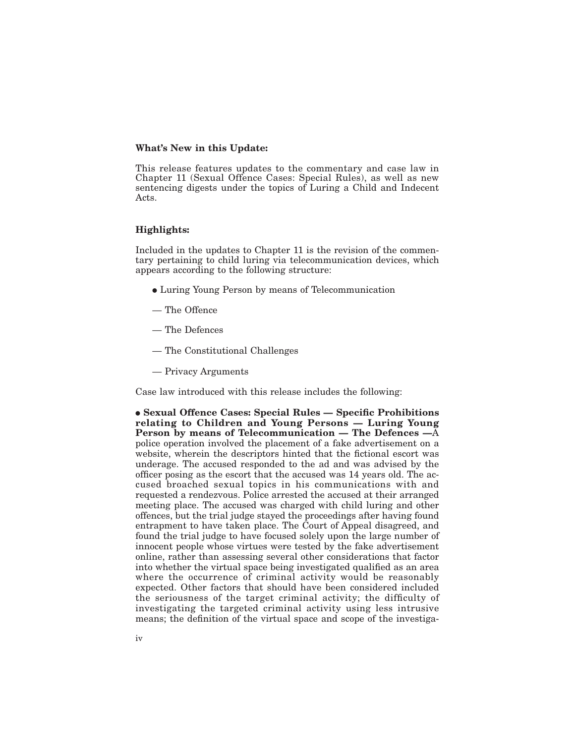#### **What's New in this Update:**

This release features updates to the commentary and case law in Chapter 11 (Sexual Offence Cases: Special Rules), as well as new sentencing digests under the topics of Luring a Child and Indecent Acts.

# **Highlights:**

Included in the updates to Chapter 11 is the revision of the commentary pertaining to child luring via telecommunication devices, which appears according to the following structure:

- Luring Young Person by means of Telecommunication
- The Offence
- The Defences
- The Constitutional Challenges
- Privacy Arguments

Case law introduced with this release includes the following:

E **Sexual Offence Cases: Special Rules — Specific Prohibitions relating to Children and Young Persons — Luring Young Person by means of Telecommunication — The Defences —**A police operation involved the placement of a fake advertisement on a website, wherein the descriptors hinted that the fictional escort was underage. The accused responded to the ad and was advised by the officer posing as the escort that the accused was 14 years old. The accused broached sexual topics in his communications with and requested a rendezvous. Police arrested the accused at their arranged meeting place. The accused was charged with child luring and other offences, but the trial judge stayed the proceedings after having found entrapment to have taken place. The Court of Appeal disagreed, and found the trial judge to have focused solely upon the large number of innocent people whose virtues were tested by the fake advertisement online, rather than assessing several other considerations that factor into whether the virtual space being investigated qualified as an area where the occurrence of criminal activity would be reasonably expected. Other factors that should have been considered included the seriousness of the target criminal activity; the difficulty of investigating the targeted criminal activity using less intrusive means; the definition of the virtual space and scope of the investiga-